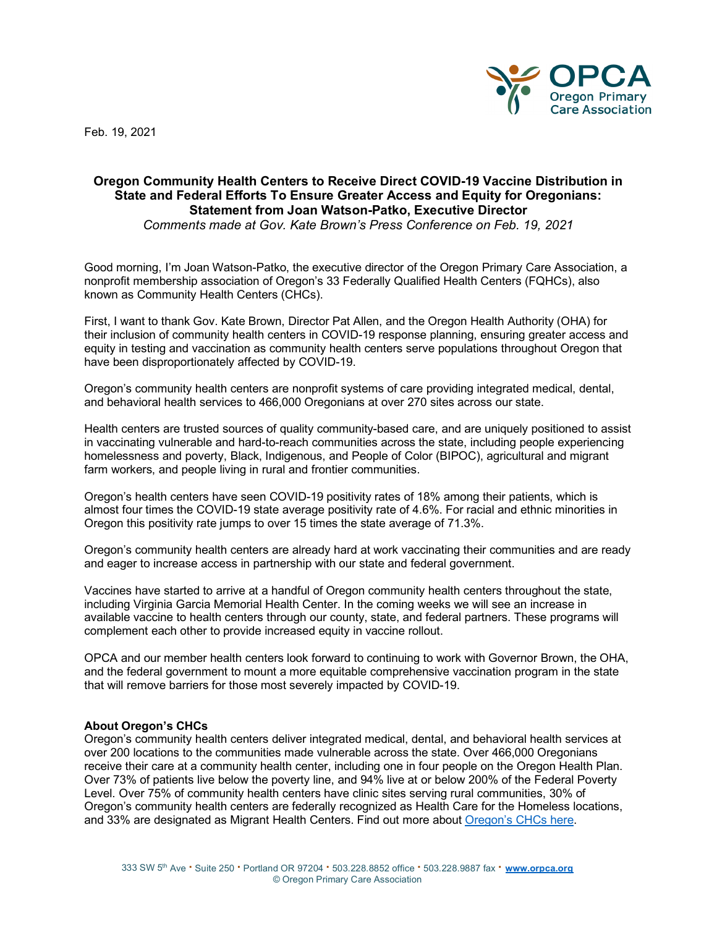Feb. 19, 2021



## **Oregon Community Health Centers to Receive Direct COVID-19 Vaccine Distribution in State and Federal Efforts To Ensure Greater Access and Equity for Oregonians: Statement from Joan Watson-Patko, Executive Director**

*Comments made at Gov. Kate Brown's Press Conference on Feb. 19, 2021*

Good morning, I'm Joan Watson-Patko, the executive director of the Oregon Primary Care Association, a nonprofit membership association of Oregon's 33 Federally Qualified Health Centers (FQHCs), also known as Community Health Centers (CHCs).

First, I want to thank Gov. Kate Brown, Director Pat Allen, and the Oregon Health Authority (OHA) for their inclusion of community health centers in COVID-19 response planning, ensuring greater access and equity in testing and vaccination as community health centers serve populations throughout Oregon that have been disproportionately affected by COVID-19.

Oregon's community health centers are nonprofit systems of care providing integrated medical, dental, and behavioral health services to 466,000 Oregonians at over 270 sites across our state.

Health centers are trusted sources of quality community-based care, and are uniquely positioned to assist in vaccinating vulnerable and hard-to-reach communities across the state, including people experiencing homelessness and poverty, Black, Indigenous, and People of Color (BIPOC), agricultural and migrant farm workers, and people living in rural and frontier communities.

Oregon's health centers have seen COVID-19 positivity rates of 18% among their patients, which is almost four times the COVID-19 state average positivity rate of 4.6%. For racial and ethnic minorities in Oregon this positivity rate jumps to over 15 times the state average of 71.3%.

Oregon's community health centers are already hard at work vaccinating their communities and are ready and eager to increase access in partnership with our state and federal government.

Vaccines have started to arrive at a handful of Oregon community health centers throughout the state, including Virginia Garcia Memorial Health Center. In the coming weeks we will see an increase in available vaccine to health centers through our county, state, and federal partners. These programs will complement each other to provide increased equity in vaccine rollout.

OPCA and our member health centers look forward to continuing to work with Governor Brown, the OHA, and the federal government to mount a more equitable comprehensive vaccination program in the state that will remove barriers for those most severely impacted by COVID-19.

## **About Oregon's CHCs**

Oregon's community health centers deliver integrated medical, dental, and behavioral health services at over 200 locations to the communities made vulnerable across the state. Over 466,000 Oregonians receive their care at a community health center, including one in four people on the Oregon Health Plan. Over 73% of patients live below the poverty line, and 94% live at or below 200% of the Federal Poverty Level. Over 75% of community health centers have clinic sites serving rural communities, 30% of Oregon's community health centers are federally recognized as Health Care for the Homeless locations, and 33% are designated as Migrant Health Centers. Find out more about [Oregon's CHCs here.](https://www.orpca.org/chc/find-a-chc)